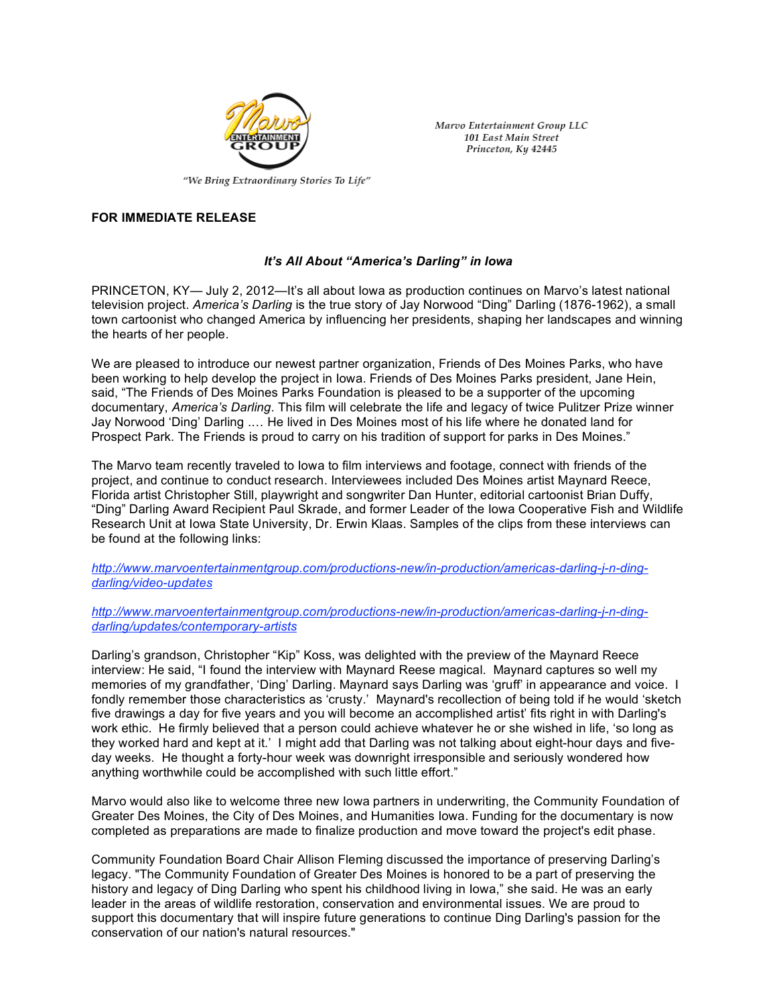

Marvo Entertainment Group LLC **101 East Main Street** Princeton, Ky 42445

## **FOR IMMEDIATE RELEASE**

## *It's All About "America's Darling" in Iowa*

PRINCETON, KY— July 2, 2012—It's all about Iowa as production continues on Marvo's latest national television project. *America's Darling* is the true story of Jay Norwood "Ding" Darling (1876-1962), a small town cartoonist who changed America by influencing her presidents, shaping her landscapes and winning the hearts of her people.

We are pleased to introduce our newest partner organization, Friends of Des Moines Parks, who have been working to help develop the project in Iowa. Friends of Des Moines Parks president, Jane Hein, said, "The Friends of Des Moines Parks Foundation is pleased to be a supporter of the upcoming documentary, *America's Darling*. This film will celebrate the life and legacy of twice Pulitzer Prize winner Jay Norwood 'Ding' Darling .… He lived in Des Moines most of his life where he donated land for Prospect Park. The Friends is proud to carry on his tradition of support for parks in Des Moines."

The Marvo team recently traveled to Iowa to film interviews and footage, connect with friends of the project, and continue to conduct research. Interviewees included Des Moines artist Maynard Reece, Florida artist Christopher Still, playwright and songwriter Dan Hunter, editorial cartoonist Brian Duffy, "Ding" Darling Award Recipient Paul Skrade, and former Leader of the Iowa Cooperative Fish and Wildlife Research Unit at Iowa State University, Dr. Erwin Klaas. Samples of the clips from these interviews can be found at the following links:

*http://www.marvoentertainmentgroup.com/productions-new/in-production/americas-darling-j-n-dingdarling/video-updates*

*http://www.marvoentertainmentgroup.com/productions-new/in-production/americas-darling-j-n-dingdarling/updates/contemporary-artists*

Darling's grandson, Christopher "Kip" Koss, was delighted with the preview of the Maynard Reece interview: He said, "I found the interview with Maynard Reese magical. Maynard captures so well my memories of my grandfather, 'Ding' Darling. Maynard says Darling was 'gruff' in appearance and voice. I fondly remember those characteristics as 'crusty.' Maynard's recollection of being told if he would 'sketch five drawings a day for five years and you will become an accomplished artist' fits right in with Darling's work ethic. He firmly believed that a person could achieve whatever he or she wished in life, 'so long as they worked hard and kept at it.' I might add that Darling was not talking about eight-hour days and fiveday weeks. He thought a forty-hour week was downright irresponsible and seriously wondered how anything worthwhile could be accomplished with such little effort."

Marvo would also like to welcome three new Iowa partners in underwriting, the Community Foundation of Greater Des Moines, the City of Des Moines, and Humanities Iowa. Funding for the documentary is now completed as preparations are made to finalize production and move toward the project's edit phase.

Community Foundation Board Chair Allison Fleming discussed the importance of preserving Darling's legacy. "The Community Foundation of Greater Des Moines is honored to be a part of preserving the history and legacy of Ding Darling who spent his childhood living in Iowa," she said. He was an early leader in the areas of wildlife restoration, conservation and environmental issues. We are proud to support this documentary that will inspire future generations to continue Ding Darling's passion for the conservation of our nation's natural resources."